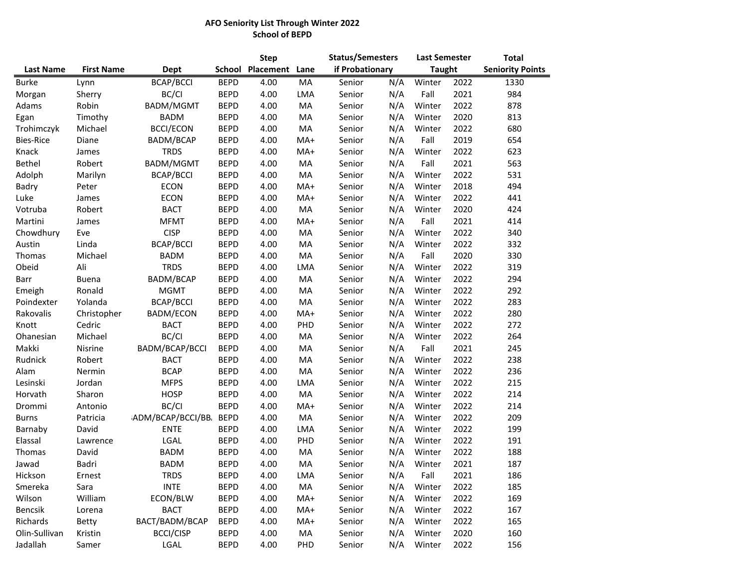## **AFO Seniority List Through Winter 2022 School of BEPD**

|                  |                   |                          |               | <b>Step</b> |       | <b>Status/Semesters</b> |     | <b>Last Semester</b> |      | <b>Total</b>            |  |
|------------------|-------------------|--------------------------|---------------|-------------|-------|-------------------------|-----|----------------------|------|-------------------------|--|
| <b>Last Name</b> | <b>First Name</b> | Dept                     | <b>School</b> | Placement   | Lane  | if Probationary         |     | <b>Taught</b>        |      | <b>Seniority Points</b> |  |
| <b>Burke</b>     | Lynn              | <b>BCAP/BCCI</b>         | <b>BEPD</b>   | 4.00        | MA    | Senior                  | N/A | Winter               | 2022 | 1330                    |  |
| Morgan           | Sherry            | BC/CI                    | <b>BEPD</b>   | 4.00        | LMA   | Senior                  | N/A | Fall                 | 2021 | 984                     |  |
| Adams            | Robin             | BADM/MGMT                | <b>BEPD</b>   | 4.00        | MA    | Senior                  | N/A | Winter               | 2022 | 878                     |  |
| Egan             | Timothy           | <b>BADM</b>              | <b>BEPD</b>   | 4.00        | MA    | Senior                  | N/A | Winter               | 2020 | 813                     |  |
| Trohimczyk       | Michael           | <b>BCCI/ECON</b>         | <b>BEPD</b>   | 4.00        | MA    | Senior                  | N/A | Winter               | 2022 | 680                     |  |
| <b>Bies-Rice</b> | Diane             | BADM/BCAP                | <b>BEPD</b>   | 4.00        | MA+   | Senior                  | N/A | Fall                 | 2019 | 654                     |  |
| Knack            | James             | <b>TRDS</b>              | <b>BEPD</b>   | 4.00        | MA+   | Senior                  | N/A | Winter               | 2022 | 623                     |  |
| Bethel           | Robert            | BADM/MGMT                | <b>BEPD</b>   | 4.00        | MA    | Senior                  | N/A | Fall                 | 2021 | 563                     |  |
| Adolph           | Marilyn           | <b>BCAP/BCCI</b>         | <b>BEPD</b>   | 4.00        | MA    | Senior                  | N/A | Winter               | 2022 | 531                     |  |
| Badry            | Peter             | <b>ECON</b>              | <b>BEPD</b>   | 4.00        | MA+   | Senior                  | N/A | Winter               | 2018 | 494                     |  |
| Luke             | James             | <b>ECON</b>              | <b>BEPD</b>   | 4.00        | MA+   | Senior                  | N/A | Winter               | 2022 | 441                     |  |
| Votruba          | Robert            | <b>BACT</b>              | <b>BEPD</b>   | 4.00        | MA    | Senior                  | N/A | Winter               | 2020 | 424                     |  |
| Martini          | James             | <b>MFMT</b>              | <b>BEPD</b>   | 4.00        | MA+   | Senior                  | N/A | Fall                 | 2021 | 414                     |  |
| Chowdhury        | Eve               | <b>CISP</b>              | <b>BEPD</b>   | 4.00        | MA    | Senior                  | N/A | Winter               | 2022 | 340                     |  |
| Austin           | Linda             | <b>BCAP/BCCI</b>         | <b>BEPD</b>   | 4.00        | MA    | Senior                  | N/A | Winter               | 2022 | 332                     |  |
| Thomas           | Michael           | <b>BADM</b>              | <b>BEPD</b>   | 4.00        | MA    | Senior                  | N/A | Fall                 | 2020 | 330                     |  |
| Obeid            | Ali               | <b>TRDS</b>              | <b>BEPD</b>   | 4.00        | LMA   | Senior                  | N/A | Winter               | 2022 | 319                     |  |
| Barr             | <b>Buena</b>      | BADM/BCAP                | <b>BEPD</b>   | 4.00        | MA    | Senior                  | N/A | Winter               | 2022 | 294                     |  |
| Emeigh           | Ronald            | <b>MGMT</b>              | <b>BEPD</b>   | 4.00        | MA    | Senior                  | N/A | Winter               | 2022 | 292                     |  |
| Poindexter       | Yolanda           | <b>BCAP/BCCI</b>         | <b>BEPD</b>   | 4.00        | MA    | Senior                  | N/A | Winter               | 2022 | 283                     |  |
| Rakovalis        | Christopher       | <b>BADM/ECON</b>         | <b>BEPD</b>   | 4.00        | $MA+$ | Senior                  | N/A | Winter               | 2022 | 280                     |  |
| Knott            | Cedric            | <b>BACT</b>              | <b>BEPD</b>   | 4.00        | PHD   | Senior                  | N/A | Winter               | 2022 | 272                     |  |
| Ohanesian        | Michael           | BC/CI                    | <b>BEPD</b>   | 4.00        | MA    | Senior                  | N/A | Winter               | 2022 | 264                     |  |
| Makki            | Nisrine           | BADM/BCAP/BCCI           | <b>BEPD</b>   | 4.00        | MA    | Senior                  | N/A | Fall                 | 2021 | 245                     |  |
| Rudnick          | Robert            | <b>BACT</b>              | <b>BEPD</b>   | 4.00        | MA    | Senior                  | N/A | Winter               | 2022 | 238                     |  |
| Alam             | Nermin            | <b>BCAP</b>              | <b>BEPD</b>   | 4.00        | MA    | Senior                  | N/A | Winter               | 2022 | 236                     |  |
| Lesinski         | Jordan            | <b>MFPS</b>              | <b>BEPD</b>   | 4.00        | LMA   | Senior                  | N/A | Winter               | 2022 | 215                     |  |
| Horvath          | Sharon            | <b>HOSP</b>              | <b>BEPD</b>   | 4.00        | MA    | Senior                  | N/A | Winter               | 2022 | 214                     |  |
| Drommi           | Antonio           | BC/CI                    | <b>BEPD</b>   | 4.00        | MA+   | Senior                  | N/A | Winter               | 2022 | 214                     |  |
| <b>Burns</b>     | Patricia          | <b>ADM/BCAP/BCCI/BB.</b> | <b>BEPD</b>   | 4.00        | MA    | Senior                  | N/A | Winter               | 2022 | 209                     |  |
| Barnaby          | David             | <b>ENTE</b>              | <b>BEPD</b>   | 4.00        | LMA   | Senior                  | N/A | Winter               | 2022 | 199                     |  |
| Elassal          | Lawrence          | LGAL                     | <b>BEPD</b>   | 4.00        | PHD   | Senior                  | N/A | Winter               | 2022 | 191                     |  |
| Thomas           | David             | <b>BADM</b>              | <b>BEPD</b>   | 4.00        | MA    | Senior                  | N/A | Winter               | 2022 | 188                     |  |
| Jawad            | Badri             | <b>BADM</b>              | <b>BEPD</b>   | 4.00        | MA    | Senior                  | N/A | Winter               | 2021 | 187                     |  |
| Hickson          | Ernest            | <b>TRDS</b>              | <b>BEPD</b>   | 4.00        | LMA   | Senior                  | N/A | Fall                 | 2021 | 186                     |  |
| Smereka          | Sara              | <b>INTE</b>              | <b>BEPD</b>   | 4.00        | MA    | Senior                  | N/A | Winter               | 2022 | 185                     |  |
| Wilson           | William           | ECON/BLW                 | <b>BEPD</b>   | 4.00        | MA+   | Senior                  | N/A | Winter               | 2022 | 169                     |  |
| Bencsik          | Lorena            | <b>BACT</b>              | <b>BEPD</b>   | 4.00        | MA+   | Senior                  | N/A | Winter               | 2022 | 167                     |  |
| Richards         | Betty             | BACT/BADM/BCAP           | <b>BEPD</b>   | 4.00        | MA+   | Senior                  | N/A | Winter               | 2022 | 165                     |  |
| Olin-Sullivan    | Kristin           | <b>BCCI/CISP</b>         | <b>BEPD</b>   | 4.00        | MA    | Senior                  | N/A | Winter               | 2020 | 160                     |  |
| Jadallah         | Samer             | LGAL                     | <b>BEPD</b>   | 4.00        | PHD   | Senior                  | N/A | Winter               | 2022 | 156                     |  |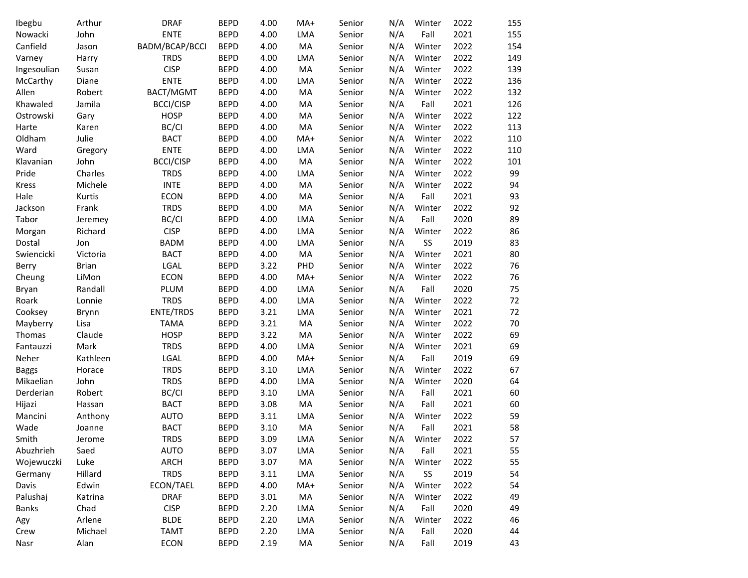| Ibegbu       | Arthur       | <b>DRAF</b>      | <b>BEPD</b> | 4.00 | MA+ | Senior | N/A | Winter | 2022 | 155 |
|--------------|--------------|------------------|-------------|------|-----|--------|-----|--------|------|-----|
| Nowacki      | John         | <b>ENTE</b>      | <b>BEPD</b> | 4.00 | LMA | Senior | N/A | Fall   | 2021 | 155 |
| Canfield     | Jason        | BADM/BCAP/BCCI   | <b>BEPD</b> | 4.00 | MA  | Senior | N/A | Winter | 2022 | 154 |
| Varney       | Harry        | <b>TRDS</b>      | <b>BEPD</b> | 4.00 | LMA | Senior | N/A | Winter | 2022 | 149 |
| Ingesoulian  | Susan        | <b>CISP</b>      | <b>BEPD</b> | 4.00 | MA  | Senior | N/A | Winter | 2022 | 139 |
| McCarthy     | Diane        | <b>ENTE</b>      | <b>BEPD</b> | 4.00 | LMA | Senior | N/A | Winter | 2022 | 136 |
| Allen        | Robert       | BACT/MGMT        | <b>BEPD</b> | 4.00 | MA  | Senior | N/A | Winter | 2022 | 132 |
| Khawaled     | Jamila       | <b>BCCI/CISP</b> | <b>BEPD</b> | 4.00 | MA  | Senior | N/A | Fall   | 2021 | 126 |
| Ostrowski    | Gary         | <b>HOSP</b>      | <b>BEPD</b> | 4.00 | MA  | Senior | N/A | Winter | 2022 | 122 |
| Harte        | Karen        | BC/CI            | <b>BEPD</b> | 4.00 | MA  | Senior | N/A | Winter | 2022 | 113 |
| Oldham       | Julie        | <b>BACT</b>      | <b>BEPD</b> | 4.00 | MA+ | Senior | N/A | Winter | 2022 | 110 |
| Ward         | Gregory      | <b>ENTE</b>      | <b>BEPD</b> | 4.00 | LMA | Senior | N/A | Winter | 2022 | 110 |
| Klavanian    | John         | <b>BCCI/CISP</b> | <b>BEPD</b> | 4.00 | MA  | Senior | N/A | Winter | 2022 | 101 |
| Pride        | Charles      | <b>TRDS</b>      | <b>BEPD</b> | 4.00 | LMA | Senior | N/A | Winter | 2022 | 99  |
| Kress        | Michele      | <b>INTE</b>      | <b>BEPD</b> | 4.00 | MA  | Senior | N/A | Winter | 2022 | 94  |
| Hale         | Kurtis       | <b>ECON</b>      | <b>BEPD</b> | 4.00 | MA  | Senior | N/A | Fall   | 2021 | 93  |
| Jackson      | Frank        | <b>TRDS</b>      | <b>BEPD</b> | 4.00 | MA  | Senior | N/A | Winter | 2022 | 92  |
| Tabor        | Jeremey      | BC/CI            | <b>BEPD</b> | 4.00 | LMA | Senior | N/A | Fall   | 2020 | 89  |
| Morgan       | Richard      | <b>CISP</b>      | <b>BEPD</b> | 4.00 | LMA | Senior | N/A | Winter | 2022 | 86  |
| Dostal       | Jon          | <b>BADM</b>      | <b>BEPD</b> | 4.00 | LMA | Senior | N/A | SS     | 2019 | 83  |
| Swiencicki   | Victoria     | <b>BACT</b>      | <b>BEPD</b> | 4.00 | MA  | Senior | N/A | Winter | 2021 | 80  |
| Berry        | <b>Brian</b> | LGAL             | <b>BEPD</b> | 3.22 | PHD | Senior | N/A | Winter | 2022 | 76  |
| Cheung       | LiMon        | <b>ECON</b>      | <b>BEPD</b> | 4.00 | MA+ | Senior | N/A | Winter | 2022 | 76  |
| Bryan        | Randall      | PLUM             | <b>BEPD</b> | 4.00 | LMA | Senior | N/A | Fall   | 2020 | 75  |
| Roark        | Lonnie       | <b>TRDS</b>      | <b>BEPD</b> | 4.00 | LMA | Senior | N/A | Winter | 2022 | 72  |
| Cooksey      | Brynn        | ENTE/TRDS        | <b>BEPD</b> | 3.21 | LMA | Senior | N/A | Winter | 2021 | 72  |
| Mayberry     | Lisa         | <b>TAMA</b>      | <b>BEPD</b> | 3.21 | MA  | Senior | N/A | Winter | 2022 | 70  |
| Thomas       | Claude       | <b>HOSP</b>      | <b>BEPD</b> | 3.22 | MA  | Senior | N/A | Winter | 2022 | 69  |
| Fantauzzi    | Mark         | <b>TRDS</b>      | <b>BEPD</b> | 4.00 | LMA | Senior | N/A | Winter | 2021 | 69  |
| Neher        | Kathleen     | LGAL             | <b>BEPD</b> | 4.00 | MA+ | Senior | N/A | Fall   | 2019 | 69  |
| <b>Baggs</b> | Horace       | <b>TRDS</b>      | <b>BEPD</b> | 3.10 | LMA | Senior | N/A | Winter | 2022 | 67  |
| Mikaelian    | John         | <b>TRDS</b>      | <b>BEPD</b> | 4.00 | LMA | Senior | N/A | Winter | 2020 | 64  |
| Derderian    | Robert       | BC/CI            | <b>BEPD</b> | 3.10 | LMA | Senior | N/A | Fall   | 2021 | 60  |
| Hijazi       | Hassan       | <b>BACT</b>      | <b>BEPD</b> | 3.08 | MA  | Senior | N/A | Fall   | 2021 | 60  |
| Mancini      | Anthony      | <b>AUTO</b>      | <b>BEPD</b> | 3.11 | LMA | Senior | N/A | Winter | 2022 | 59  |
| Wade         | Joanne       | <b>BACT</b>      | <b>BEPD</b> | 3.10 | MA  | Senior | N/A | Fall   | 2021 | 58  |
| Smith        | Jerome       | <b>TRDS</b>      | <b>BEPD</b> | 3.09 | LMA | Senior | N/A | Winter | 2022 | 57  |
| Abuzhrieh    | Saed         | AUTO             | <b>BEPD</b> | 3.07 | LMA | Senior | N/A | Fall   | 2021 | 55  |
| Wojewuczki   | Luke         | ARCH             | <b>BEPD</b> | 3.07 | MA  | Senior | N/A | Winter | 2022 | 55  |
| Germany      | Hillard      | <b>TRDS</b>      | <b>BEPD</b> | 3.11 | LMA | Senior | N/A | SS     | 2019 | 54  |
| Davis        | Edwin        | ECON/TAEL        | <b>BEPD</b> | 4.00 | MA+ | Senior | N/A | Winter | 2022 | 54  |
| Palushaj     |              | <b>DRAF</b>      | <b>BEPD</b> | 3.01 | MA  |        | N/A | Winter | 2022 | 49  |
|              | Katrina      | <b>CISP</b>      |             |      |     | Senior |     |        |      |     |
| Banks        | Chad         |                  | <b>BEPD</b> | 2.20 | LMA | Senior | N/A | Fall   | 2020 | 49  |
| Agy          | Arlene       | <b>BLDE</b>      | <b>BEPD</b> | 2.20 | LMA | Senior | N/A | Winter | 2022 | 46  |
| Crew         | Michael      | <b>TAMT</b>      | <b>BEPD</b> | 2.20 | LMA | Senior | N/A | Fall   | 2020 | 44  |
| Nasr         | Alan         | ECON             | <b>BEPD</b> | 2.19 | MA  | Senior | N/A | Fall   | 2019 | 43  |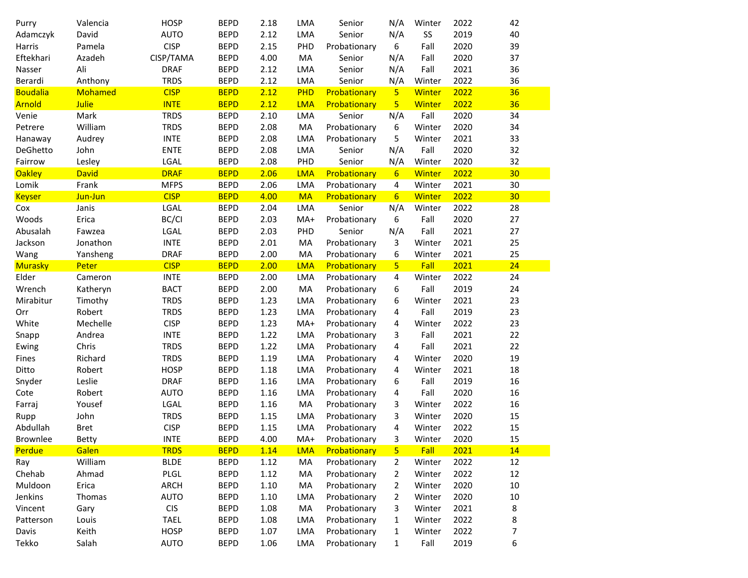| Purry           | Valencia     | <b>HOSP</b> | <b>BEPD</b> | 2.18 | LMA        | Senior       | N/A              | Winter        | 2022 | 42 |
|-----------------|--------------|-------------|-------------|------|------------|--------------|------------------|---------------|------|----|
| Adamczyk        | David        | <b>AUTO</b> | <b>BEPD</b> | 2.12 | LMA        | Senior       | N/A              | SS            | 2019 | 40 |
| Harris          | Pamela       | <b>CISP</b> | <b>BEPD</b> | 2.15 | PHD        | Probationary | 6                | Fall          | 2020 | 39 |
| Eftekhari       | Azadeh       | CISP/TAMA   | <b>BEPD</b> | 4.00 | MA         | Senior       | N/A              | Fall          | 2020 | 37 |
| Nasser          | Ali          | <b>DRAF</b> | <b>BEPD</b> | 2.12 | LMA        | Senior       | N/A              | Fall          | 2021 | 36 |
| Berardi         | Anthony      | <b>TRDS</b> | <b>BEPD</b> | 2.12 | LMA        | Senior       | N/A              | Winter        | 2022 | 36 |
| <b>Boudalia</b> | Mohamed      | <b>CISP</b> | <b>BEPD</b> | 2.12 | PHD        | Probationary | 5 <sup>1</sup>   | <b>Winter</b> | 2022 | 36 |
| Arnold          | <b>Julie</b> | <b>INTE</b> | <b>BEPD</b> | 2.12 | <b>LMA</b> | Probationary | 5                | Winter        | 2022 | 36 |
| Venie           | Mark         | <b>TRDS</b> | <b>BEPD</b> | 2.10 | LMA        | Senior       | N/A              | Fall          | 2020 | 34 |
| Petrere         | William      | <b>TRDS</b> | <b>BEPD</b> | 2.08 | MA         | Probationary | 6                | Winter        | 2020 | 34 |
| Hanaway         | Audrey       | <b>INTE</b> | <b>BEPD</b> | 2.08 | LMA        | Probationary | 5                | Winter        | 2021 | 33 |
| DeGhetto        | John         | <b>ENTE</b> | <b>BEPD</b> | 2.08 | LMA        | Senior       | N/A              | Fall          | 2020 | 32 |
| Fairrow         | Lesley       | LGAL        | <b>BEPD</b> | 2.08 | PHD        | Senior       | N/A              | Winter        | 2020 | 32 |
| <b>Oakley</b>   | <b>David</b> | <b>DRAF</b> | <b>BEPD</b> | 2.06 | <b>LMA</b> | Probationary | $6 \overline{6}$ | Winter        | 2022 | 30 |
| Lomik           | Frank        | <b>MFPS</b> | <b>BEPD</b> | 2.06 | LMA        | Probationary | $\overline{4}$   | Winter        | 2021 | 30 |
| <b>Keyser</b>   | Jun-Jun      | <b>CISP</b> | <b>BEPD</b> | 4.00 | <b>MA</b>  | Probationary | $6 \overline{6}$ | Winter        | 2022 | 30 |
| Cox             | Janis        | LGAL        | <b>BEPD</b> | 2.04 | LMA        | Senior       | N/A              | Winter        | 2022 | 28 |
| Woods           | Erica        | BC/CI       | <b>BEPD</b> | 2.03 | $MA+$      | Probationary | 6                | Fall          | 2020 | 27 |
| Abusalah        | Fawzea       | LGAL        | <b>BEPD</b> | 2.03 | PHD        | Senior       | N/A              | Fall          | 2021 | 27 |
| Jackson         | Jonathon     | <b>INTE</b> | <b>BEPD</b> | 2.01 | MA         | Probationary | 3                | Winter        | 2021 | 25 |
| Wang            | Yansheng     | <b>DRAF</b> | <b>BEPD</b> | 2.00 | MA         | Probationary | 6                | Winter        | 2021 | 25 |
| <b>Murasky</b>  | Peter        | <b>CISP</b> | <b>BEPD</b> | 2.00 | <b>LMA</b> | Probationary | 5 <sup>1</sup>   | Fall          | 2021 | 24 |
| Elder           | Cameron      | <b>INTE</b> | <b>BEPD</b> | 2.00 | LMA        | Probationary | 4                | Winter        | 2022 | 24 |
| Wrench          | Katheryn     | <b>BACT</b> | <b>BEPD</b> | 2.00 | MA         | Probationary | 6                | Fall          | 2019 | 24 |
| Mirabitur       | Timothy      | <b>TRDS</b> | <b>BEPD</b> | 1.23 | LMA        | Probationary | 6                | Winter        | 2021 | 23 |
| Orr             | Robert       | <b>TRDS</b> | <b>BEPD</b> | 1.23 | LMA        | Probationary | 4                | Fall          | 2019 | 23 |
| White           | Mechelle     | <b>CISP</b> | <b>BEPD</b> | 1.23 | $MA+$      | Probationary | 4                | Winter        | 2022 | 23 |
| Snapp           | Andrea       | <b>INTE</b> | <b>BEPD</b> | 1.22 | LMA        | Probationary | 3                | Fall          | 2021 | 22 |
| Ewing           | Chris        | <b>TRDS</b> | <b>BEPD</b> | 1.22 | LMA        | Probationary | 4                | Fall          | 2021 | 22 |
| Fines           | Richard      | <b>TRDS</b> | <b>BEPD</b> | 1.19 | LMA        | Probationary | 4                | Winter        | 2020 | 19 |
| Ditto           | Robert       | <b>HOSP</b> | <b>BEPD</b> | 1.18 | LMA        | Probationary | 4                | Winter        | 2021 | 18 |
| Snyder          | Leslie       | <b>DRAF</b> | <b>BEPD</b> | 1.16 | LMA        | Probationary | 6                | Fall          | 2019 | 16 |
| Cote            | Robert       | <b>AUTO</b> | <b>BEPD</b> | 1.16 | LMA        | Probationary | 4                | Fall          | 2020 | 16 |
| Farraj          | Yousef       | LGAL        | <b>BEPD</b> | 1.16 | MA         | Probationary | 3                | Winter        | 2022 | 16 |
| Rupp            | John         | <b>TRDS</b> | <b>BEPD</b> | 1.15 | LMA        | Probationary | 3                | Winter        | 2020 | 15 |
| Abdullah        | <b>Bret</b>  | <b>CISP</b> | <b>BEPD</b> | 1.15 | LMA        | Probationary | 4                | Winter        | 2022 | 15 |
| <b>Brownlee</b> | Betty        | <b>INTE</b> | <b>BEPD</b> | 4.00 | MA+        | Probationary | 3                | Winter        | 2020 | 15 |
| Perdue          | Galen        | <b>TRDS</b> | <b>BEPD</b> | 1.14 | <b>LMA</b> | Probationary | 5 <sub>1</sub>   | <b>Fall</b>   | 2021 | 14 |
| Ray             | William      | <b>BLDE</b> | <b>BEPD</b> | 1.12 | MA         | Probationary | 2                | Winter        | 2022 | 12 |
| Chehab          | Ahmad        | PLGL        | <b>BEPD</b> | 1.12 | MA         | Probationary | 2                | Winter        | 2022 | 12 |
| Muldoon         | Erica        | <b>ARCH</b> | <b>BEPD</b> | 1.10 | MA         | Probationary | 2                | Winter        | 2020 | 10 |
| Jenkins         | Thomas       | <b>AUTO</b> | <b>BEPD</b> | 1.10 | LMA        | Probationary | $\overline{2}$   | Winter        | 2020 | 10 |
| Vincent         | Gary         | <b>CIS</b>  | <b>BEPD</b> | 1.08 | MA         | Probationary | 3                | Winter        | 2021 | 8  |
| Patterson       | Louis        | <b>TAEL</b> | <b>BEPD</b> | 1.08 | LMA        | Probationary | $\mathbf{1}$     | Winter        | 2022 | 8  |
| Davis           | Keith        | <b>HOSP</b> | <b>BEPD</b> | 1.07 | LMA        | Probationary | 1                | Winter        | 2022 | 7  |
| Tekko           | Salah        | <b>AUTO</b> | <b>BEPD</b> | 1.06 | LMA        | Probationary | $\mathbf{1}$     | Fall          | 2019 | 6  |